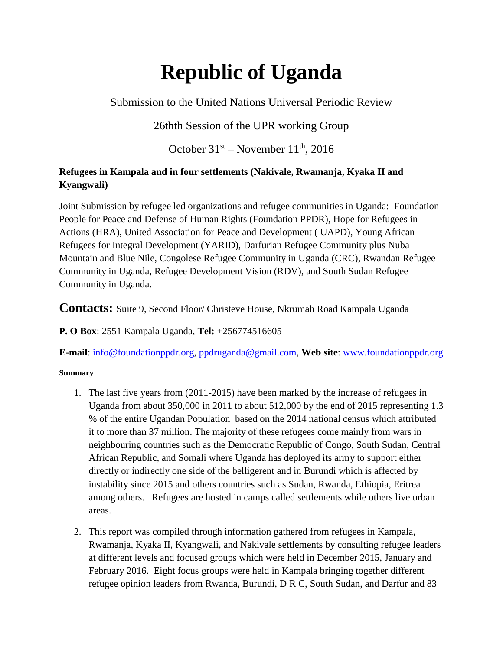# **Republic of Uganda**

Submission to the United Nations Universal Periodic Review

# 26thth Session of the UPR working Group

October  $31<sup>st</sup>$  – November  $11<sup>th</sup>$ , 2016

# **Refugees in Kampala and in four settlements (Nakivale, Rwamanja, Kyaka II and Kyangwali)**

Joint Submission by refugee led organizations and refugee communities in Uganda: Foundation People for Peace and Defense of Human Rights (Foundation PPDR), Hope for Refugees in Actions (HRA), United Association for Peace and Development ( UAPD), Young African Refugees for Integral Development (YARID), Darfurian Refugee Community plus Nuba Mountain and Blue Nile, Congolese Refugee Community in Uganda (CRC), Rwandan Refugee Community in Uganda, Refugee Development Vision (RDV), and South Sudan Refugee Community in Uganda.

**Contacts:** Suite 9, Second Floor/ Christeve House, Nkrumah Road Kampala Uganda

**P. O Box**: 2551 Kampala Uganda, **Tel:** +256774516605

**E-mail**: [info@foundationppdr.org,](mailto:info@foundationppdr.org) [ppdruganda@gmail.com,](mailto:ppdruganda@gmail.com) **Web site**: [www.foundationppdr.org](http://www.foundationppdr.org/)

# **Summary**

- 1. The last five years from (2011-2015) have been marked by the increase of refugees in Uganda from about 350,000 in 2011 to about 512,000 by the end of 2015 representing 1.3 % of the entire Ugandan Population based on the 2014 national census which attributed it to more than 37 million. The majority of these refugees come mainly from wars in neighbouring countries such as the Democratic Republic of Congo, South Sudan, Central African Republic, and Somali where Uganda has deployed its army to support either directly or indirectly one side of the belligerent and in Burundi which is affected by instability since 2015 and others countries such as Sudan, Rwanda, Ethiopia, Eritrea among others. Refugees are hosted in camps called settlements while others live urban areas.
- 2. This report was compiled through information gathered from refugees in Kampala, Rwamanja, Kyaka II, Kyangwali, and Nakivale settlements by consulting refugee leaders at different levels and focused groups which were held in December 2015, January and February 2016. Eight focus groups were held in Kampala bringing together different refugee opinion leaders from Rwanda, Burundi, D R C, South Sudan, and Darfur and 83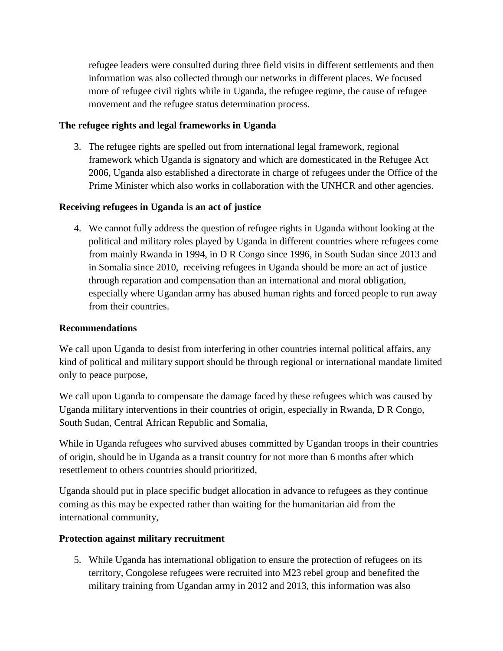refugee leaders were consulted during three field visits in different settlements and then information was also collected through our networks in different places. We focused more of refugee civil rights while in Uganda, the refugee regime, the cause of refugee movement and the refugee status determination process.

# **The refugee rights and legal frameworks in Uganda**

3. The refugee rights are spelled out from international legal framework, regional framework which Uganda is signatory and which are domesticated in the Refugee Act 2006, Uganda also established a directorate in charge of refugees under the Office of the Prime Minister which also works in collaboration with the UNHCR and other agencies.

# **Receiving refugees in Uganda is an act of justice**

4. We cannot fully address the question of refugee rights in Uganda without looking at the political and military roles played by Uganda in different countries where refugees come from mainly Rwanda in 1994, in D R Congo since 1996, in South Sudan since 2013 and in Somalia since 2010, receiving refugees in Uganda should be more an act of justice through reparation and compensation than an international and moral obligation, especially where Ugandan army has abused human rights and forced people to run away from their countries.

# **Recommendations**

We call upon Uganda to desist from interfering in other countries internal political affairs, any kind of political and military support should be through regional or international mandate limited only to peace purpose,

We call upon Uganda to compensate the damage faced by these refugees which was caused by Uganda military interventions in their countries of origin, especially in Rwanda, D R Congo, South Sudan, Central African Republic and Somalia,

While in Uganda refugees who survived abuses committed by Ugandan troops in their countries of origin, should be in Uganda as a transit country for not more than 6 months after which resettlement to others countries should prioritized,

Uganda should put in place specific budget allocation in advance to refugees as they continue coming as this may be expected rather than waiting for the humanitarian aid from the international community,

# **Protection against military recruitment**

5. While Uganda has international obligation to ensure the protection of refugees on its territory, Congolese refugees were recruited into M23 rebel group and benefited the military training from Ugandan army in 2012 and 2013, this information was also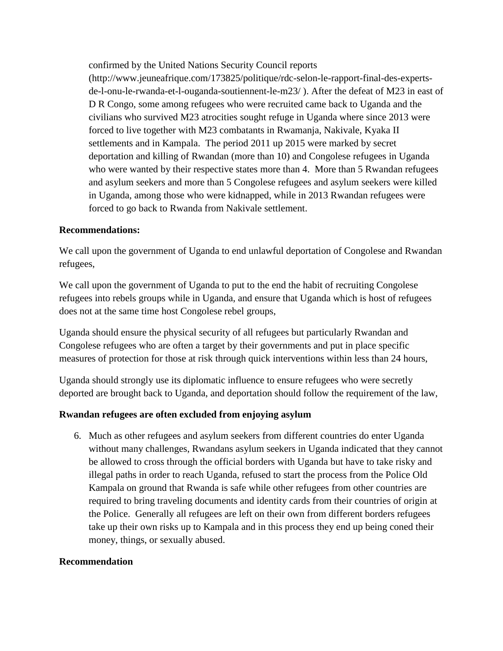confirmed by the United Nations Security Council reports

(http://www.jeuneafrique.com/173825/politique/rdc-selon-le-rapport-final-des-expertsde-l-onu-le-rwanda-et-l-ouganda-soutiennent-le-m23/ ). After the defeat of M23 in east of D R Congo, some among refugees who were recruited came back to Uganda and the civilians who survived M23 atrocities sought refuge in Uganda where since 2013 were forced to live together with M23 combatants in Rwamanja, Nakivale, Kyaka II settlements and in Kampala. The period 2011 up 2015 were marked by secret deportation and killing of Rwandan (more than 10) and Congolese refugees in Uganda who were wanted by their respective states more than 4. More than 5 Rwandan refugees and asylum seekers and more than 5 Congolese refugees and asylum seekers were killed in Uganda, among those who were kidnapped, while in 2013 Rwandan refugees were forced to go back to Rwanda from Nakivale settlement.

#### **Recommendations:**

We call upon the government of Uganda to end unlawful deportation of Congolese and Rwandan refugees,

We call upon the government of Uganda to put to the end the habit of recruiting Congolese refugees into rebels groups while in Uganda, and ensure that Uganda which is host of refugees does not at the same time host Congolese rebel groups,

Uganda should ensure the physical security of all refugees but particularly Rwandan and Congolese refugees who are often a target by their governments and put in place specific measures of protection for those at risk through quick interventions within less than 24 hours,

Uganda should strongly use its diplomatic influence to ensure refugees who were secretly deported are brought back to Uganda, and deportation should follow the requirement of the law,

# **Rwandan refugees are often excluded from enjoying asylum**

6. Much as other refugees and asylum seekers from different countries do enter Uganda without many challenges, Rwandans asylum seekers in Uganda indicated that they cannot be allowed to cross through the official borders with Uganda but have to take risky and illegal paths in order to reach Uganda, refused to start the process from the Police Old Kampala on ground that Rwanda is safe while other refugees from other countries are required to bring traveling documents and identity cards from their countries of origin at the Police. Generally all refugees are left on their own from different borders refugees take up their own risks up to Kampala and in this process they end up being coned their money, things, or sexually abused.

#### **Recommendation**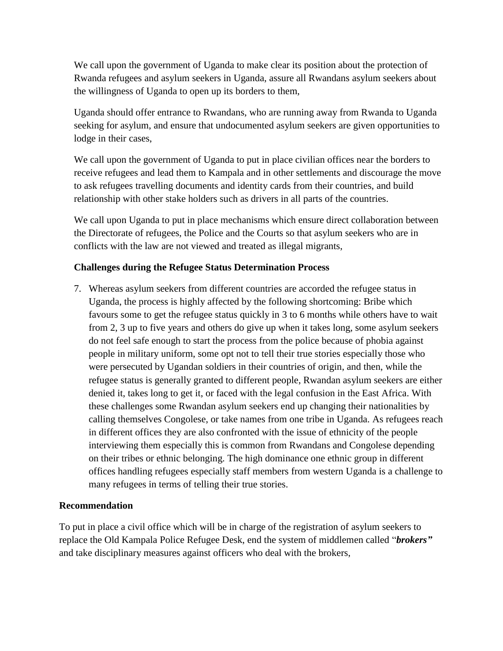We call upon the government of Uganda to make clear its position about the protection of Rwanda refugees and asylum seekers in Uganda, assure all Rwandans asylum seekers about the willingness of Uganda to open up its borders to them,

Uganda should offer entrance to Rwandans, who are running away from Rwanda to Uganda seeking for asylum, and ensure that undocumented asylum seekers are given opportunities to lodge in their cases,

We call upon the government of Uganda to put in place civilian offices near the borders to receive refugees and lead them to Kampala and in other settlements and discourage the move to ask refugees travelling documents and identity cards from their countries, and build relationship with other stake holders such as drivers in all parts of the countries.

We call upon Uganda to put in place mechanisms which ensure direct collaboration between the Directorate of refugees, the Police and the Courts so that asylum seekers who are in conflicts with the law are not viewed and treated as illegal migrants,

# **Challenges during the Refugee Status Determination Process**

7. Whereas asylum seekers from different countries are accorded the refugee status in Uganda, the process is highly affected by the following shortcoming: Bribe which favours some to get the refugee status quickly in 3 to 6 months while others have to wait from 2, 3 up to five years and others do give up when it takes long, some asylum seekers do not feel safe enough to start the process from the police because of phobia against people in military uniform, some opt not to tell their true stories especially those who were persecuted by Ugandan soldiers in their countries of origin, and then, while the refugee status is generally granted to different people, Rwandan asylum seekers are either denied it, takes long to get it, or faced with the legal confusion in the East Africa. With these challenges some Rwandan asylum seekers end up changing their nationalities by calling themselves Congolese, or take names from one tribe in Uganda. As refugees reach in different offices they are also confronted with the issue of ethnicity of the people interviewing them especially this is common from Rwandans and Congolese depending on their tribes or ethnic belonging. The high dominance one ethnic group in different offices handling refugees especially staff members from western Uganda is a challenge to many refugees in terms of telling their true stories.

# **Recommendation**

To put in place a civil office which will be in charge of the registration of asylum seekers to replace the Old Kampala Police Refugee Desk, end the system of middlemen called "*brokers"* and take disciplinary measures against officers who deal with the brokers,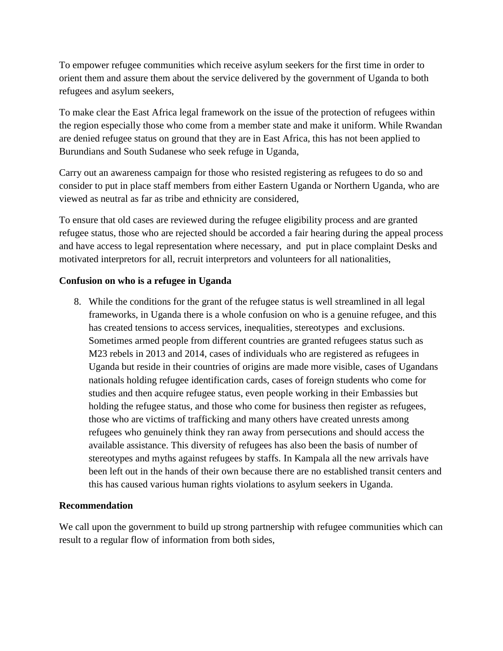To empower refugee communities which receive asylum seekers for the first time in order to orient them and assure them about the service delivered by the government of Uganda to both refugees and asylum seekers,

To make clear the East Africa legal framework on the issue of the protection of refugees within the region especially those who come from a member state and make it uniform. While Rwandan are denied refugee status on ground that they are in East Africa, this has not been applied to Burundians and South Sudanese who seek refuge in Uganda,

Carry out an awareness campaign for those who resisted registering as refugees to do so and consider to put in place staff members from either Eastern Uganda or Northern Uganda, who are viewed as neutral as far as tribe and ethnicity are considered,

To ensure that old cases are reviewed during the refugee eligibility process and are granted refugee status, those who are rejected should be accorded a fair hearing during the appeal process and have access to legal representation where necessary, and put in place complaint Desks and motivated interpretors for all, recruit interpretors and volunteers for all nationalities,

# **Confusion on who is a refugee in Uganda**

8. While the conditions for the grant of the refugee status is well streamlined in all legal frameworks, in Uganda there is a whole confusion on who is a genuine refugee, and this has created tensions to access services, inequalities, stereotypes and exclusions. Sometimes armed people from different countries are granted refugees status such as M23 rebels in 2013 and 2014, cases of individuals who are registered as refugees in Uganda but reside in their countries of origins are made more visible, cases of Ugandans nationals holding refugee identification cards, cases of foreign students who come for studies and then acquire refugee status, even people working in their Embassies but holding the refugee status, and those who come for business then register as refugees, those who are victims of trafficking and many others have created unrests among refugees who genuinely think they ran away from persecutions and should access the available assistance. This diversity of refugees has also been the basis of number of stereotypes and myths against refugees by staffs. In Kampala all the new arrivals have been left out in the hands of their own because there are no established transit centers and this has caused various human rights violations to asylum seekers in Uganda.

# **Recommendation**

We call upon the government to build up strong partnership with refugee communities which can result to a regular flow of information from both sides,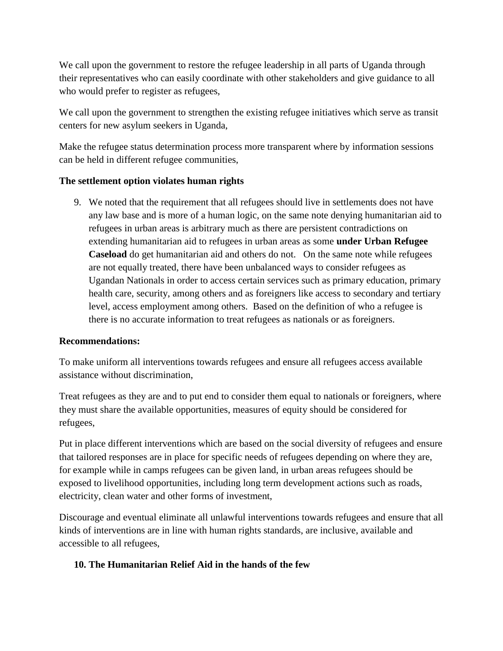We call upon the government to restore the refugee leadership in all parts of Uganda through their representatives who can easily coordinate with other stakeholders and give guidance to all who would prefer to register as refugees,

We call upon the government to strengthen the existing refugee initiatives which serve as transit centers for new asylum seekers in Uganda,

Make the refugee status determination process more transparent where by information sessions can be held in different refugee communities,

# **The settlement option violates human rights**

9. We noted that the requirement that all refugees should live in settlements does not have any law base and is more of a human logic, on the same note denying humanitarian aid to refugees in urban areas is arbitrary much as there are persistent contradictions on extending humanitarian aid to refugees in urban areas as some **under Urban Refugee Caseload** do get humanitarian aid and others do not. On the same note while refugees are not equally treated, there have been unbalanced ways to consider refugees as Ugandan Nationals in order to access certain services such as primary education, primary health care, security, among others and as foreigners like access to secondary and tertiary level, access employment among others. Based on the definition of who a refugee is there is no accurate information to treat refugees as nationals or as foreigners.

# **Recommendations:**

To make uniform all interventions towards refugees and ensure all refugees access available assistance without discrimination,

Treat refugees as they are and to put end to consider them equal to nationals or foreigners, where they must share the available opportunities, measures of equity should be considered for refugees,

Put in place different interventions which are based on the social diversity of refugees and ensure that tailored responses are in place for specific needs of refugees depending on where they are, for example while in camps refugees can be given land, in urban areas refugees should be exposed to livelihood opportunities, including long term development actions such as roads, electricity, clean water and other forms of investment,

Discourage and eventual eliminate all unlawful interventions towards refugees and ensure that all kinds of interventions are in line with human rights standards, are inclusive, available and accessible to all refugees,

# **10. The Humanitarian Relief Aid in the hands of the few**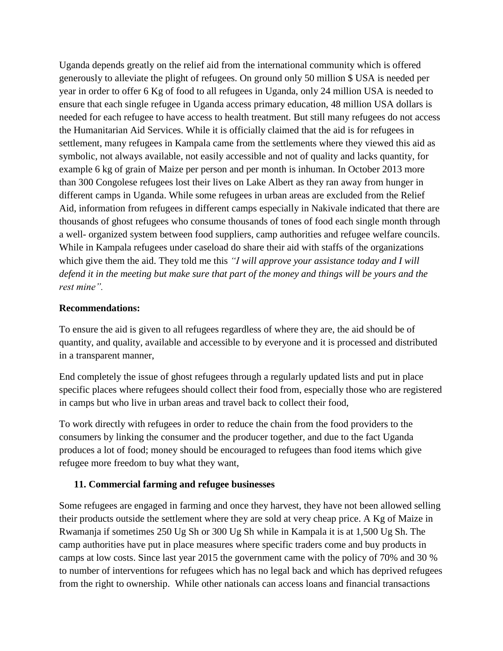Uganda depends greatly on the relief aid from the international community which is offered generously to alleviate the plight of refugees. On ground only 50 million \$ USA is needed per year in order to offer 6 Kg of food to all refugees in Uganda, only 24 million USA is needed to ensure that each single refugee in Uganda access primary education, 48 million USA dollars is needed for each refugee to have access to health treatment. But still many refugees do not access the Humanitarian Aid Services. While it is officially claimed that the aid is for refugees in settlement, many refugees in Kampala came from the settlements where they viewed this aid as symbolic, not always available, not easily accessible and not of quality and lacks quantity, for example 6 kg of grain of Maize per person and per month is inhuman. In October 2013 more than 300 Congolese refugees lost their lives on Lake Albert as they ran away from hunger in different camps in Uganda. While some refugees in urban areas are excluded from the Relief Aid, information from refugees in different camps especially in Nakivale indicated that there are thousands of ghost refugees who consume thousands of tones of food each single month through a well- organized system between food suppliers, camp authorities and refugee welfare councils. While in Kampala refugees under caseload do share their aid with staffs of the organizations which give them the aid. They told me this *"I will approve your assistance today and I will defend it in the meeting but make sure that part of the money and things will be yours and the rest mine".* 

#### **Recommendations:**

To ensure the aid is given to all refugees regardless of where they are, the aid should be of quantity, and quality, available and accessible to by everyone and it is processed and distributed in a transparent manner,

End completely the issue of ghost refugees through a regularly updated lists and put in place specific places where refugees should collect their food from, especially those who are registered in camps but who live in urban areas and travel back to collect their food,

To work directly with refugees in order to reduce the chain from the food providers to the consumers by linking the consumer and the producer together, and due to the fact Uganda produces a lot of food; money should be encouraged to refugees than food items which give refugee more freedom to buy what they want,

# **11. Commercial farming and refugee businesses**

Some refugees are engaged in farming and once they harvest, they have not been allowed selling their products outside the settlement where they are sold at very cheap price. A Kg of Maize in Rwamanja if sometimes 250 Ug Sh or 300 Ug Sh while in Kampala it is at 1,500 Ug Sh. The camp authorities have put in place measures where specific traders come and buy products in camps at low costs. Since last year 2015 the government came with the policy of 70% and 30 % to number of interventions for refugees which has no legal back and which has deprived refugees from the right to ownership. While other nationals can access loans and financial transactions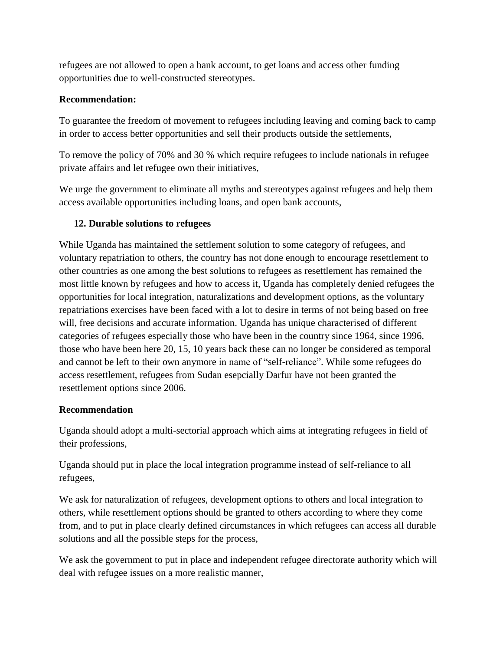refugees are not allowed to open a bank account, to get loans and access other funding opportunities due to well-constructed stereotypes.

# **Recommendation:**

To guarantee the freedom of movement to refugees including leaving and coming back to camp in order to access better opportunities and sell their products outside the settlements,

To remove the policy of 70% and 30 % which require refugees to include nationals in refugee private affairs and let refugee own their initiatives,

We urge the government to eliminate all myths and stereotypes against refugees and help them access available opportunities including loans, and open bank accounts,

# **12. Durable solutions to refugees**

While Uganda has maintained the settlement solution to some category of refugees, and voluntary repatriation to others, the country has not done enough to encourage resettlement to other countries as one among the best solutions to refugees as resettlement has remained the most little known by refugees and how to access it, Uganda has completely denied refugees the opportunities for local integration, naturalizations and development options, as the voluntary repatriations exercises have been faced with a lot to desire in terms of not being based on free will, free decisions and accurate information. Uganda has unique characterised of different categories of refugees especially those who have been in the country since 1964, since 1996, those who have been here 20, 15, 10 years back these can no longer be considered as temporal and cannot be left to their own anymore in name of "self-reliance". While some refugees do access resettlement, refugees from Sudan esepcially Darfur have not been granted the resettlement options since 2006.

# **Recommendation**

Uganda should adopt a multi-sectorial approach which aims at integrating refugees in field of their professions,

Uganda should put in place the local integration programme instead of self-reliance to all refugees,

We ask for naturalization of refugees, development options to others and local integration to others, while resettlement options should be granted to others according to where they come from, and to put in place clearly defined circumstances in which refugees can access all durable solutions and all the possible steps for the process,

We ask the government to put in place and independent refugee directorate authority which will deal with refugee issues on a more realistic manner,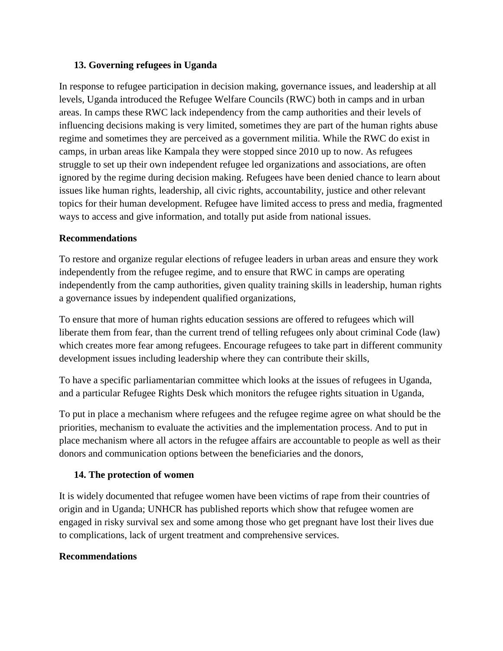# **13. Governing refugees in Uganda**

In response to refugee participation in decision making, governance issues, and leadership at all levels, Uganda introduced the Refugee Welfare Councils (RWC) both in camps and in urban areas. In camps these RWC lack independency from the camp authorities and their levels of influencing decisions making is very limited, sometimes they are part of the human rights abuse regime and sometimes they are perceived as a government militia. While the RWC do exist in camps, in urban areas like Kampala they were stopped since 2010 up to now. As refugees struggle to set up their own independent refugee led organizations and associations, are often ignored by the regime during decision making. Refugees have been denied chance to learn about issues like human rights, leadership, all civic rights, accountability, justice and other relevant topics for their human development. Refugee have limited access to press and media, fragmented ways to access and give information, and totally put aside from national issues.

# **Recommendations**

To restore and organize regular elections of refugee leaders in urban areas and ensure they work independently from the refugee regime, and to ensure that RWC in camps are operating independently from the camp authorities, given quality training skills in leadership, human rights a governance issues by independent qualified organizations,

To ensure that more of human rights education sessions are offered to refugees which will liberate them from fear, than the current trend of telling refugees only about criminal Code (law) which creates more fear among refugees. Encourage refugees to take part in different community development issues including leadership where they can contribute their skills,

To have a specific parliamentarian committee which looks at the issues of refugees in Uganda, and a particular Refugee Rights Desk which monitors the refugee rights situation in Uganda,

To put in place a mechanism where refugees and the refugee regime agree on what should be the priorities, mechanism to evaluate the activities and the implementation process. And to put in place mechanism where all actors in the refugee affairs are accountable to people as well as their donors and communication options between the beneficiaries and the donors,

# **14. The protection of women**

It is widely documented that refugee women have been victims of rape from their countries of origin and in Uganda; UNHCR has published reports which show that refugee women are engaged in risky survival sex and some among those who get pregnant have lost their lives due to complications, lack of urgent treatment and comprehensive services.

# **Recommendations**